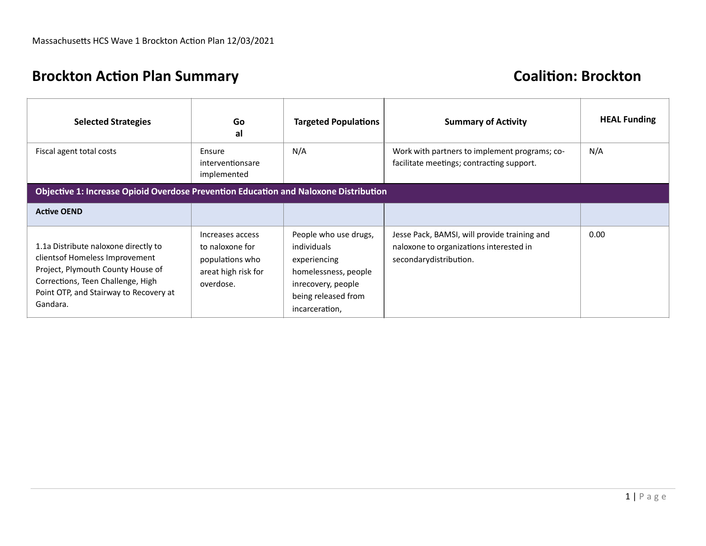# **Brockton Action Plan Summary Coalition: Brockton**

| <b>Selected Strategies</b>                                                                                                                                                                              | Go<br>al                                                                                   | <b>Targeted Populations</b>                                                                                                                 | <b>Summary of Activity</b>                                                                                        | <b>HEAL Funding</b> |
|---------------------------------------------------------------------------------------------------------------------------------------------------------------------------------------------------------|--------------------------------------------------------------------------------------------|---------------------------------------------------------------------------------------------------------------------------------------------|-------------------------------------------------------------------------------------------------------------------|---------------------|
| Fiscal agent total costs                                                                                                                                                                                | Ensure<br>interventionsare<br>implemented                                                  | N/A                                                                                                                                         | Work with partners to implement programs; co-<br>facilitate meetings; contracting support.                        | N/A                 |
| Objective 1: Increase Opioid Overdose Prevention Education and Naloxone Distribution                                                                                                                    |                                                                                            |                                                                                                                                             |                                                                                                                   |                     |
| <b>Active OEND</b>                                                                                                                                                                                      |                                                                                            |                                                                                                                                             |                                                                                                                   |                     |
| 1.1a Distribute naloxone directly to<br>clients of Homeless Improvement<br>Project, Plymouth County House of<br>Corrections, Teen Challenge, High<br>Point OTP, and Stairway to Recovery at<br>Gandara. | Increases access<br>to naloxone for<br>populations who<br>areat high risk for<br>overdose. | People who use drugs,<br>individuals<br>experiencing<br>homelessness, people<br>inrecovery, people<br>being released from<br>incarceration, | Jesse Pack, BAMSI, will provide training and<br>naloxone to organizations interested in<br>secondarydistribution. | 0.00                |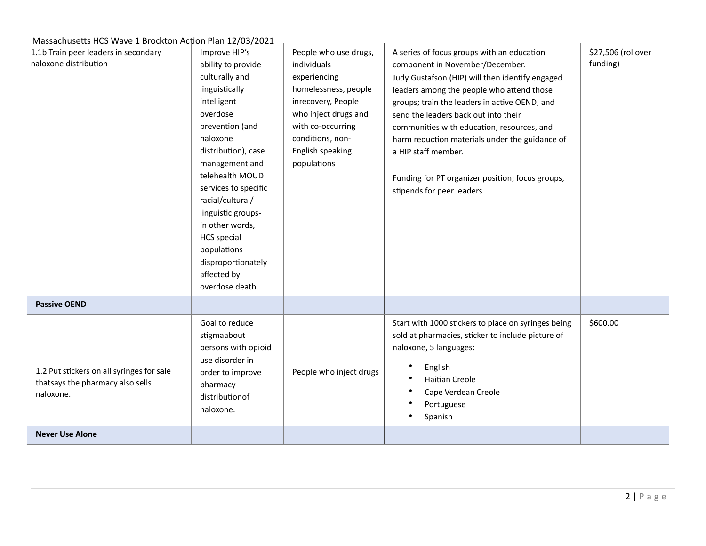| <u>1109 CC9 TTC9 Wave I DIOCKCON ACCION TIGHT IZTO9</u><br>1.1b Train peer leaders in secondary<br>naloxone distribution | Improve HIP's<br>ability to provide<br>culturally and<br>linguistically<br>intelligent<br>overdose<br>prevention (and<br>naloxone<br>distribution), case<br>management and<br>telehealth MOUD<br>services to specific<br>racial/cultural/<br>linguistic groups-<br>in other words,<br><b>HCS</b> special<br>populations<br>disproportionately<br>affected by<br>overdose death. | People who use drugs,<br>individuals<br>experiencing<br>homelessness, people<br>inrecovery, People<br>who inject drugs and<br>with co-occurring<br>conditions, non-<br>English speaking<br>populations | A series of focus groups with an education<br>component in November/December.<br>Judy Gustafson (HIP) will then identify engaged<br>leaders among the people who attend those<br>groups; train the leaders in active OEND; and<br>send the leaders back out into their<br>communities with education, resources, and<br>harm reduction materials under the guidance of<br>a HIP staff member.<br>Funding for PT organizer position; focus groups,<br>stipends for peer leaders | \$27,506 (rollover<br>funding) |
|--------------------------------------------------------------------------------------------------------------------------|---------------------------------------------------------------------------------------------------------------------------------------------------------------------------------------------------------------------------------------------------------------------------------------------------------------------------------------------------------------------------------|--------------------------------------------------------------------------------------------------------------------------------------------------------------------------------------------------------|--------------------------------------------------------------------------------------------------------------------------------------------------------------------------------------------------------------------------------------------------------------------------------------------------------------------------------------------------------------------------------------------------------------------------------------------------------------------------------|--------------------------------|
| <b>Passive OEND</b>                                                                                                      |                                                                                                                                                                                                                                                                                                                                                                                 |                                                                                                                                                                                                        |                                                                                                                                                                                                                                                                                                                                                                                                                                                                                |                                |
| 1.2 Put stickers on all syringes for sale<br>thatsays the pharmacy also sells<br>naloxone.                               | Goal to reduce<br>stigmaabout<br>persons with opioid<br>use disorder in<br>order to improve<br>pharmacy<br>distributionof<br>naloxone.                                                                                                                                                                                                                                          | People who inject drugs                                                                                                                                                                                | Start with 1000 stickers to place on syringes being<br>sold at pharmacies, sticker to include picture of<br>naloxone, 5 languages:<br>English<br>Haitian Creole<br>Cape Verdean Creole<br>Portuguese<br>Spanish                                                                                                                                                                                                                                                                | \$600.00                       |
| <b>Never Use Alone</b>                                                                                                   |                                                                                                                                                                                                                                                                                                                                                                                 |                                                                                                                                                                                                        |                                                                                                                                                                                                                                                                                                                                                                                                                                                                                |                                |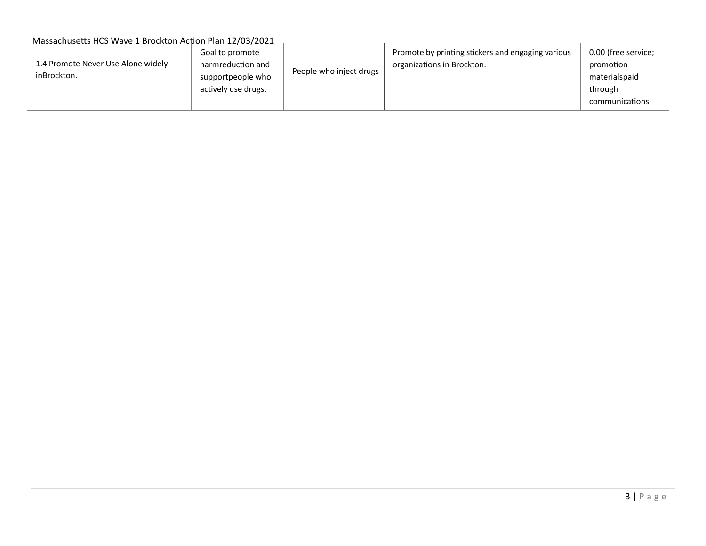| 1.4 Promote Never Use Alone widely<br>inBrockton. | Goal to promote<br>harmreduction and<br>supportpeople who<br>actively use drugs. | People who inject drugs | Promote by printing stickers and engaging various<br>organizations in Brockton. | 0.00 (free service;<br>promotion<br>materialspaid<br>through<br>communications |
|---------------------------------------------------|----------------------------------------------------------------------------------|-------------------------|---------------------------------------------------------------------------------|--------------------------------------------------------------------------------|
|---------------------------------------------------|----------------------------------------------------------------------------------|-------------------------|---------------------------------------------------------------------------------|--------------------------------------------------------------------------------|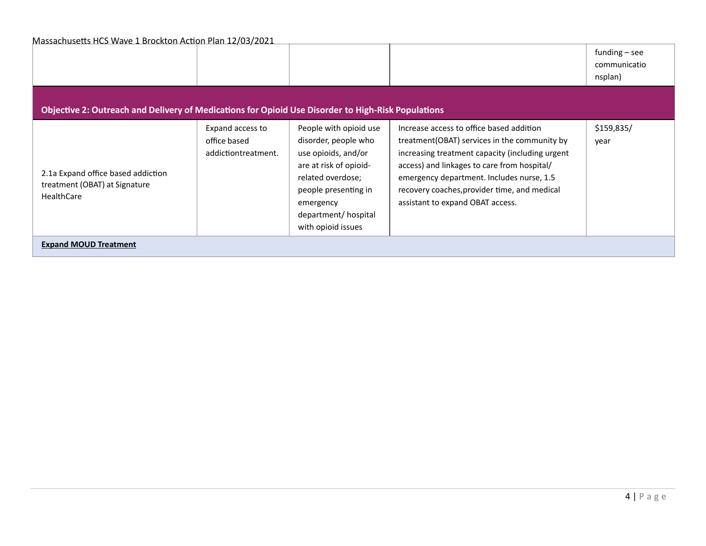| <u>WR338CHUSCIUS TICJ WUWC I DIOCKION ACTION FRIH IZJOJIZOZI</u>                                   |                                                         |                                                                                                                                                                                                        |                                                                                                                                                                                                                                                                                                                              | funding $-$ see<br>communicatio<br>nsplan) |  |
|----------------------------------------------------------------------------------------------------|---------------------------------------------------------|--------------------------------------------------------------------------------------------------------------------------------------------------------------------------------------------------------|------------------------------------------------------------------------------------------------------------------------------------------------------------------------------------------------------------------------------------------------------------------------------------------------------------------------------|--------------------------------------------|--|
| Objective 2: Outreach and Delivery of Medications for Opioid Use Disorder to High-Risk Populations |                                                         |                                                                                                                                                                                                        |                                                                                                                                                                                                                                                                                                                              |                                            |  |
| 2.1a Expand office based addiction<br>treatment (OBAT) at Signature<br><b>HealthCare</b>           | Expand access to<br>office based<br>addictiontreatment. | People with opioid use<br>disorder, people who<br>use opioids, and/or<br>are at risk of opioid-<br>related overdose;<br>people presenting in<br>emergency<br>department/hospital<br>with opioid issues | Increase access to office based addition<br>treatment (OBAT) services in the community by<br>increasing treatment capacity (including urgent<br>access) and linkages to care from hospital/<br>emergency department. Includes nurse, 1.5<br>recovery coaches, provider time, and medical<br>assistant to expand OBAT access. | \$159,835/<br>year                         |  |
| <b>Expand MOUD Treatment</b>                                                                       |                                                         |                                                                                                                                                                                                        |                                                                                                                                                                                                                                                                                                                              |                                            |  |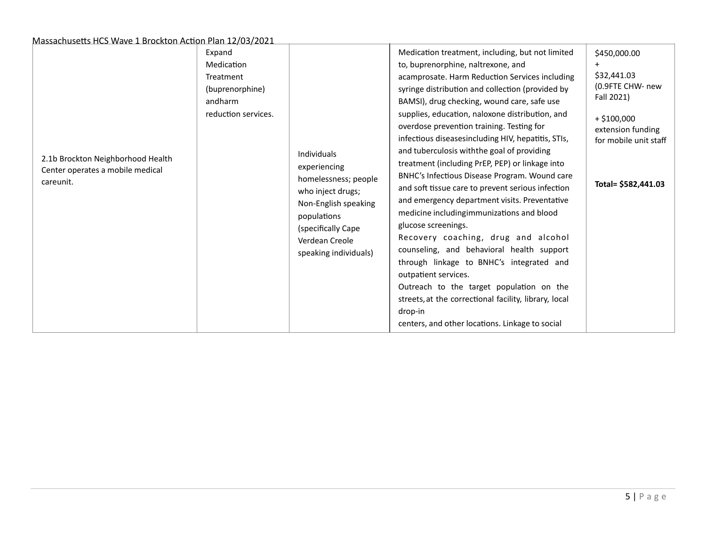| 2.1b Brockton Neighborhood Health<br>Center operates a mobile medical<br>careunit. | Expand<br>Medication<br>Treatment<br>(buprenorphine)<br>andharm<br>reduction services. | Individuals<br>experiencing<br>homelessness; people<br>who inject drugs;<br>Non-English speaking<br>populations<br>(specifically Cape<br>Verdean Creole<br>speaking individuals) | Medication treatment, including, but not limited<br>to, buprenorphine, naltrexone, and<br>acamprosate. Harm Reduction Services including<br>syringe distribution and collection (provided by<br>BAMSI), drug checking, wound care, safe use<br>supplies, education, naloxone distribution, and<br>overdose prevention training. Testing for<br>infectious diseasesincluding HIV, hepatitis, STIs,<br>and tuberculosis with the goal of providing<br>treatment (including PrEP, PEP) or linkage into<br>BNHC's Infectious Disease Program. Wound care<br>and soft tissue care to prevent serious infection<br>and emergency department visits. Preventative<br>medicine includingimmunizations and blood<br>glucose screenings.<br>Recovery coaching, drug and alcohol<br>counseling, and behavioral health support<br>through linkage to BNHC's integrated and<br>outpatient services.<br>Outreach to the target population on the<br>streets, at the correctional facility, library, local<br>drop-in<br>centers, and other locations. Linkage to social | \$450,000.00<br>\$32,441.03<br>(0.9FTE CHW- new<br>Fall 2021)<br>$+ $100,000$<br>extension funding<br>for mobile unit staff<br>Total= \$582,441.03 |
|------------------------------------------------------------------------------------|----------------------------------------------------------------------------------------|----------------------------------------------------------------------------------------------------------------------------------------------------------------------------------|-----------------------------------------------------------------------------------------------------------------------------------------------------------------------------------------------------------------------------------------------------------------------------------------------------------------------------------------------------------------------------------------------------------------------------------------------------------------------------------------------------------------------------------------------------------------------------------------------------------------------------------------------------------------------------------------------------------------------------------------------------------------------------------------------------------------------------------------------------------------------------------------------------------------------------------------------------------------------------------------------------------------------------------------------------------|----------------------------------------------------------------------------------------------------------------------------------------------------|
|------------------------------------------------------------------------------------|----------------------------------------------------------------------------------------|----------------------------------------------------------------------------------------------------------------------------------------------------------------------------------|-----------------------------------------------------------------------------------------------------------------------------------------------------------------------------------------------------------------------------------------------------------------------------------------------------------------------------------------------------------------------------------------------------------------------------------------------------------------------------------------------------------------------------------------------------------------------------------------------------------------------------------------------------------------------------------------------------------------------------------------------------------------------------------------------------------------------------------------------------------------------------------------------------------------------------------------------------------------------------------------------------------------------------------------------------------|----------------------------------------------------------------------------------------------------------------------------------------------------|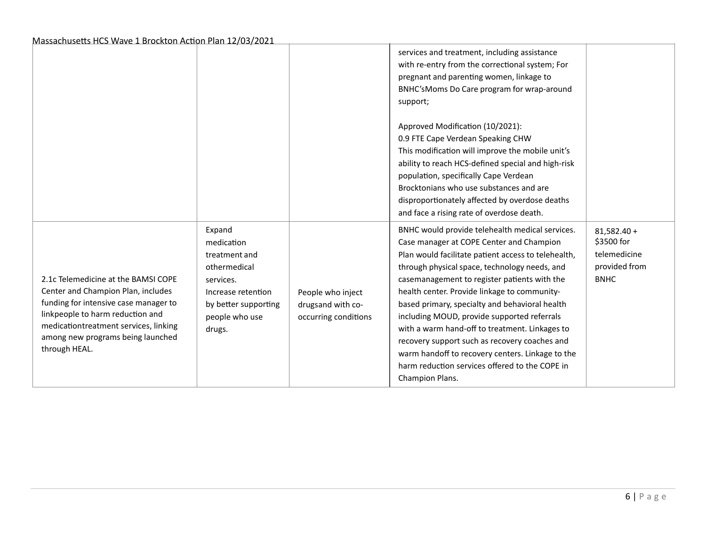|                                                                                                                                                                                                                                                       |                                                                                                                                              |                                                                | services and treatment, including assistance<br>with re-entry from the correctional system; For<br>pregnant and parenting women, linkage to<br>BNHC'sMoms Do Care program for wrap-around<br>support;                                                                                                                                                                                                                                                                                                                                                                                                                            |                                                                             |
|-------------------------------------------------------------------------------------------------------------------------------------------------------------------------------------------------------------------------------------------------------|----------------------------------------------------------------------------------------------------------------------------------------------|----------------------------------------------------------------|----------------------------------------------------------------------------------------------------------------------------------------------------------------------------------------------------------------------------------------------------------------------------------------------------------------------------------------------------------------------------------------------------------------------------------------------------------------------------------------------------------------------------------------------------------------------------------------------------------------------------------|-----------------------------------------------------------------------------|
|                                                                                                                                                                                                                                                       |                                                                                                                                              |                                                                | Approved Modification (10/2021):<br>0.9 FTE Cape Verdean Speaking CHW<br>This modification will improve the mobile unit's<br>ability to reach HCS-defined special and high-risk<br>population, specifically Cape Verdean<br>Brocktonians who use substances and are<br>disproportionately affected by overdose deaths<br>and face a rising rate of overdose death.                                                                                                                                                                                                                                                               |                                                                             |
| 2.1c Telemedicine at the BAMSI COPE<br>Center and Champion Plan, includes<br>funding for intensive case manager to<br>linkpeople to harm reduction and<br>medicationtreatment services, linking<br>among new programs being launched<br>through HEAL. | Expand<br>medication<br>treatment and<br>othermedical<br>services.<br>Increase retention<br>by better supporting<br>people who use<br>drugs. | People who inject<br>drugsand with co-<br>occurring conditions | BNHC would provide telehealth medical services.<br>Case manager at COPE Center and Champion<br>Plan would facilitate patient access to telehealth,<br>through physical space, technology needs, and<br>casemanagement to register patients with the<br>health center. Provide linkage to community-<br>based primary, specialty and behavioral health<br>including MOUD, provide supported referrals<br>with a warm hand-off to treatment. Linkages to<br>recovery support such as recovery coaches and<br>warm handoff to recovery centers. Linkage to the<br>harm reduction services offered to the COPE in<br>Champion Plans. | $81,582.40 +$<br>\$3500 for<br>telemedicine<br>provided from<br><b>BNHC</b> |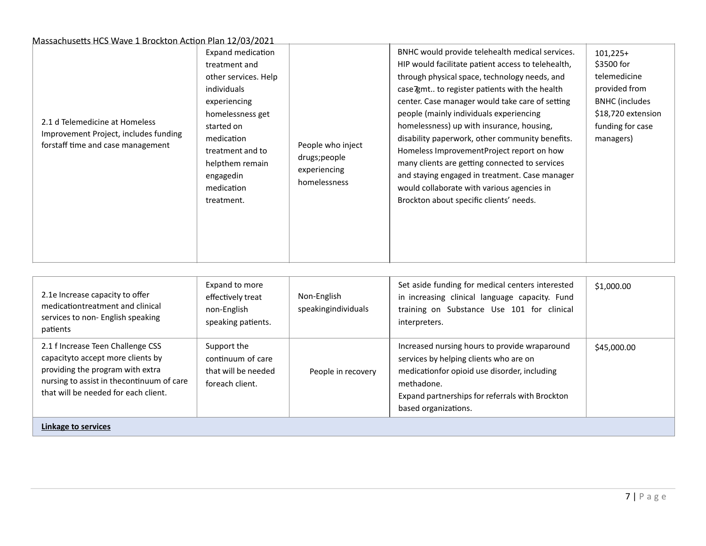| 2.1 d Telemedicine at Homeless<br>Improvement Project, includes funding<br>forstaff time and case management | Expand medication<br>treatment and<br>other services. Help<br>individuals<br>experiencing<br>homelessness get<br>started on<br>medication<br>treatment and to<br>helpthem remain<br>engagedin<br>medication<br>treatment. | People who inject<br>drugs;people<br>experiencing<br>homelessness | BNHC would provide telehealth medical services.<br>HIP would facilitate patient access to telehealth,<br>through physical space, technology needs, and<br>case Zamt to register patients with the health<br>center. Case manager would take care of setting<br>people (mainly individuals experiencing<br>homelessness) up with insurance, housing,<br>disability paperwork, other community benefits.<br>Homeless ImprovementProject report on how<br>many clients are getting connected to services<br>and staying engaged in treatment. Case manager<br>would collaborate with various agencies in<br>Brockton about specific clients' needs. | $101,225+$<br>\$3500 for<br>telemedicine<br>provided from<br><b>BNHC</b> (includes<br>\$18,720 extension<br>funding for case<br>managers) |
|--------------------------------------------------------------------------------------------------------------|---------------------------------------------------------------------------------------------------------------------------------------------------------------------------------------------------------------------------|-------------------------------------------------------------------|--------------------------------------------------------------------------------------------------------------------------------------------------------------------------------------------------------------------------------------------------------------------------------------------------------------------------------------------------------------------------------------------------------------------------------------------------------------------------------------------------------------------------------------------------------------------------------------------------------------------------------------------------|-------------------------------------------------------------------------------------------------------------------------------------------|
|--------------------------------------------------------------------------------------------------------------|---------------------------------------------------------------------------------------------------------------------------------------------------------------------------------------------------------------------------|-------------------------------------------------------------------|--------------------------------------------------------------------------------------------------------------------------------------------------------------------------------------------------------------------------------------------------------------------------------------------------------------------------------------------------------------------------------------------------------------------------------------------------------------------------------------------------------------------------------------------------------------------------------------------------------------------------------------------------|-------------------------------------------------------------------------------------------------------------------------------------------|

| 2.1e Increase capacity to offer<br>medicationtreatment and clinical<br>services to non-English speaking<br>patients                                                                              | Expand to more<br>effectively treat<br>non-English<br>speaking patients.   | Non-English<br>speakingindividuals | Set aside funding for medical centers interested<br>in increasing clinical language capacity. Fund<br>training on Substance Use 101 for clinical<br>interpreters.                                                                | \$1,000.00  |
|--------------------------------------------------------------------------------------------------------------------------------------------------------------------------------------------------|----------------------------------------------------------------------------|------------------------------------|----------------------------------------------------------------------------------------------------------------------------------------------------------------------------------------------------------------------------------|-------------|
| 2.1 f Increase Teen Challenge CSS<br>capacityto accept more clients by<br>providing the program with extra<br>nursing to assist in the continuum of care<br>that will be needed for each client. | Support the<br>continuum of care<br>that will be needed<br>foreach client. | People in recovery                 | Increased nursing hours to provide wraparound<br>services by helping clients who are on<br>medicationfor opioid use disorder, including<br>methadone.<br>Expand partnerships for referrals with Brockton<br>based organizations. | \$45,000.00 |
| Linkage to services                                                                                                                                                                              |                                                                            |                                    |                                                                                                                                                                                                                                  |             |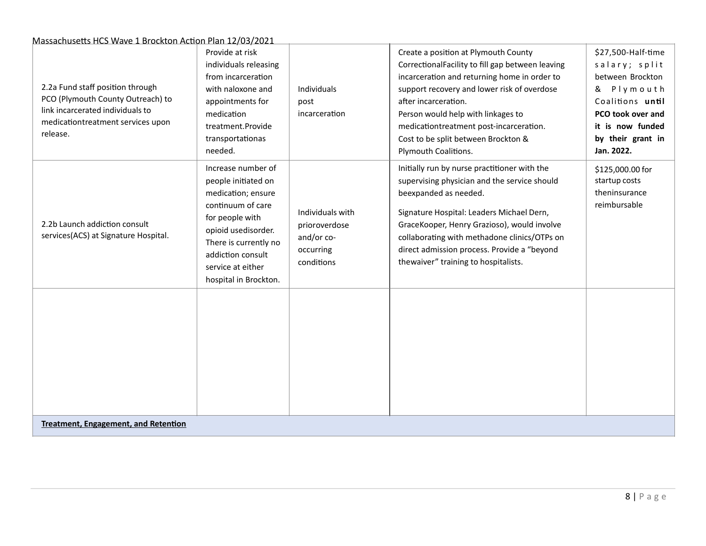| 2.2a Fund staff position through<br>PCO (Plymouth County Outreach) to<br>link incarcerated individuals to<br>medicationtreatment services upon<br>release. | Provide at risk<br>individuals releasing<br>from incarceration<br>with naloxone and<br>appointments for<br>medication<br>treatment.Provide<br>transportationas<br>needed.                                                  | Individuals<br>post<br>incarceration                                       | Create a position at Plymouth County<br>CorrectionalFacility to fill gap between leaving<br>incarceration and returning home in order to<br>support recovery and lower risk of overdose<br>after incarceration.<br>Person would help with linkages to<br>medicationtreatment post-incarceration.<br>Cost to be split between Brockton &<br>Plymouth Coalitions. | \$27,500-Half-time<br>salary; split<br>between Brockton<br>& Plymouth<br>Coalitions until<br>PCO took over and<br>it is now funded<br>by their grant in<br>Jan. 2022. |  |
|------------------------------------------------------------------------------------------------------------------------------------------------------------|----------------------------------------------------------------------------------------------------------------------------------------------------------------------------------------------------------------------------|----------------------------------------------------------------------------|-----------------------------------------------------------------------------------------------------------------------------------------------------------------------------------------------------------------------------------------------------------------------------------------------------------------------------------------------------------------|-----------------------------------------------------------------------------------------------------------------------------------------------------------------------|--|
| 2.2b Launch addiction consult<br>services(ACS) at Signature Hospital.                                                                                      | Increase number of<br>people initiated on<br>medication; ensure<br>continuum of care<br>for people with<br>opioid usedisorder.<br>There is currently no<br>addiction consult<br>service at either<br>hospital in Brockton. | Individuals with<br>prioroverdose<br>and/or co-<br>occurring<br>conditions | Initially run by nurse practitioner with the<br>supervising physician and the service should<br>beexpanded as needed.<br>Signature Hospital: Leaders Michael Dern,<br>GraceKooper, Henry Grazioso), would involve<br>collaborating with methadone clinics/OTPs on<br>direct admission process. Provide a "beyond<br>thewaiver" training to hospitalists.        | \$125,000.00 for<br>startup costs<br>theninsurance<br>reimbursable                                                                                                    |  |
|                                                                                                                                                            |                                                                                                                                                                                                                            |                                                                            |                                                                                                                                                                                                                                                                                                                                                                 |                                                                                                                                                                       |  |
|                                                                                                                                                            | <b>Treatment, Engagement, and Retention</b>                                                                                                                                                                                |                                                                            |                                                                                                                                                                                                                                                                                                                                                                 |                                                                                                                                                                       |  |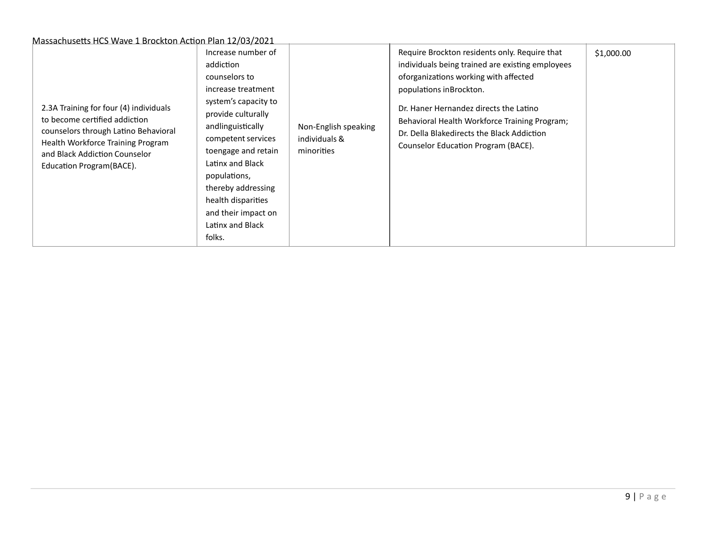| 2.3A Training for four (4) individuals<br>to become certified addiction<br>counselors through Latino Behavioral<br>Health Workforce Training Program<br>and Black Addiction Counselor<br>Education Program (BACE). | Increase number of<br>addiction<br>counselors to<br>increase treatment<br>system's capacity to<br>provide culturally<br>andlinguistically<br>competent services<br>toengage and retain<br>Latinx and Black<br>populations,<br>thereby addressing<br>health disparities<br>and their impact on<br>Latinx and Black<br>folks. | Non-English speaking<br>individuals &<br>minorities | Require Brockton residents only. Require that<br>individuals being trained are existing employees<br>oforganizations working with affected<br>populations inBrockton.<br>Dr. Haner Hernandez directs the Latino<br>Behavioral Health Workforce Training Program;<br>Dr. Della Blakedirects the Black Addiction<br>Counselor Education Program (BACE). | \$1,000.00 |
|--------------------------------------------------------------------------------------------------------------------------------------------------------------------------------------------------------------------|-----------------------------------------------------------------------------------------------------------------------------------------------------------------------------------------------------------------------------------------------------------------------------------------------------------------------------|-----------------------------------------------------|-------------------------------------------------------------------------------------------------------------------------------------------------------------------------------------------------------------------------------------------------------------------------------------------------------------------------------------------------------|------------|
|--------------------------------------------------------------------------------------------------------------------------------------------------------------------------------------------------------------------|-----------------------------------------------------------------------------------------------------------------------------------------------------------------------------------------------------------------------------------------------------------------------------------------------------------------------------|-----------------------------------------------------|-------------------------------------------------------------------------------------------------------------------------------------------------------------------------------------------------------------------------------------------------------------------------------------------------------------------------------------------------------|------------|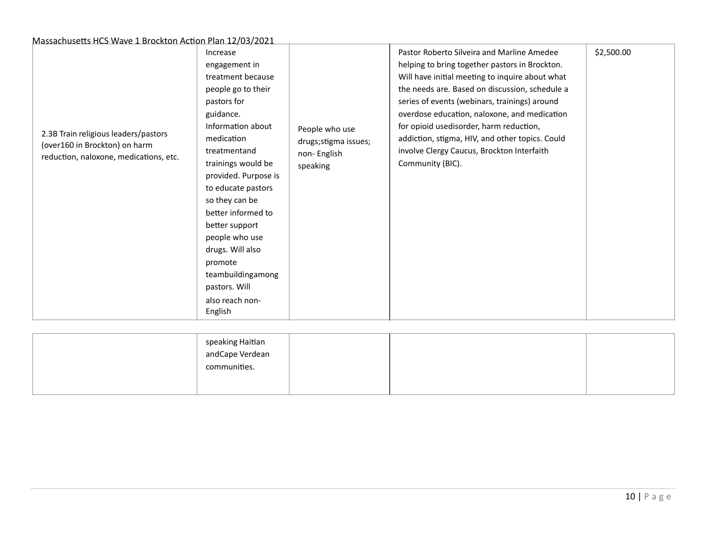| 2.3B Train religious leaders/pastors<br>(over160 in Brockton) on harm<br>reduction, naloxone, medications, etc. | Increase<br>engagement in<br>treatment because<br>people go to their<br>pastors for<br>guidance.<br>Information about<br>medication<br>treatmentand<br>trainings would be<br>provided. Purpose is<br>to educate pastors<br>so they can be<br>better informed to<br>better support<br>people who use<br>drugs. Will also<br>promote<br>teambuildingamong<br>pastors. Will<br>also reach non-<br>English | People who use<br>drugs; stigma issues;<br>non-English<br>speaking | Pastor Roberto Silveira and Marline Amedee<br>helping to bring together pastors in Brockton.<br>Will have initial meeting to inquire about what<br>the needs are. Based on discussion, schedule a<br>series of events (webinars, trainings) around<br>overdose education, naloxone, and medication<br>for opioid usedisorder, harm reduction,<br>addiction, stigma, HIV, and other topics. Could<br>involve Clergy Caucus, Brockton Interfaith<br>Community (BIC). | \$2,500.00 |
|-----------------------------------------------------------------------------------------------------------------|--------------------------------------------------------------------------------------------------------------------------------------------------------------------------------------------------------------------------------------------------------------------------------------------------------------------------------------------------------------------------------------------------------|--------------------------------------------------------------------|--------------------------------------------------------------------------------------------------------------------------------------------------------------------------------------------------------------------------------------------------------------------------------------------------------------------------------------------------------------------------------------------------------------------------------------------------------------------|------------|
|-----------------------------------------------------------------------------------------------------------------|--------------------------------------------------------------------------------------------------------------------------------------------------------------------------------------------------------------------------------------------------------------------------------------------------------------------------------------------------------------------------------------------------------|--------------------------------------------------------------------|--------------------------------------------------------------------------------------------------------------------------------------------------------------------------------------------------------------------------------------------------------------------------------------------------------------------------------------------------------------------------------------------------------------------------------------------------------------------|------------|

| speaking Haitian<br>andCape Verdean<br>communities. |  |  |
|-----------------------------------------------------|--|--|
|                                                     |  |  |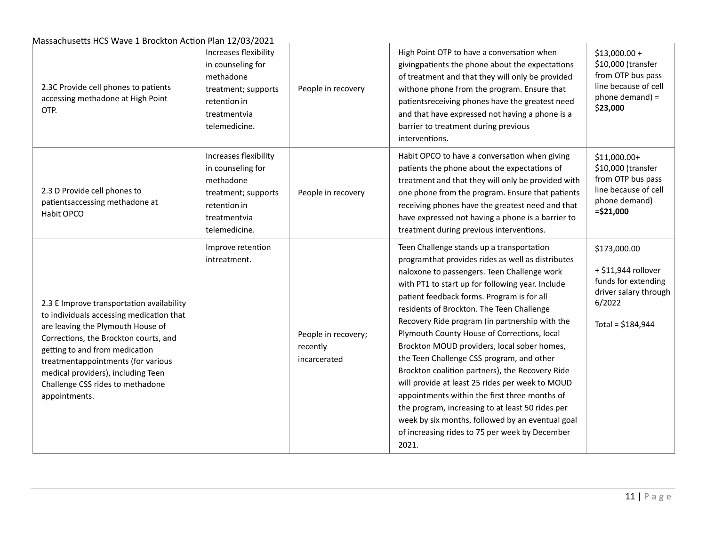| 2.3C Provide cell phones to patients<br>accessing methadone at High Point<br>OTP.                                                                                                                                                                                                                                                      | Increases flexibility<br>in counseling for<br>methadone<br>treatment; supports<br>retention in<br>treatmentvia<br>telemedicine. | People in recovery                              | High Point OTP to have a conversation when<br>givingpatients the phone about the expectations<br>of treatment and that they will only be provided<br>withone phone from the program. Ensure that<br>patientsreceiving phones have the greatest need<br>and that have expressed not having a phone is a<br>barrier to treatment during previous<br>interventions.                                                                                                                                                                                                                                                                                                                                                                                                                                                    | $$13,000.00+$<br>\$10,000 (transfer<br>from OTP bus pass<br>line because of cell<br>phone demand) =<br>\$23,000     |
|----------------------------------------------------------------------------------------------------------------------------------------------------------------------------------------------------------------------------------------------------------------------------------------------------------------------------------------|---------------------------------------------------------------------------------------------------------------------------------|-------------------------------------------------|---------------------------------------------------------------------------------------------------------------------------------------------------------------------------------------------------------------------------------------------------------------------------------------------------------------------------------------------------------------------------------------------------------------------------------------------------------------------------------------------------------------------------------------------------------------------------------------------------------------------------------------------------------------------------------------------------------------------------------------------------------------------------------------------------------------------|---------------------------------------------------------------------------------------------------------------------|
| 2.3 D Provide cell phones to<br>patientsaccessing methadone at<br>Habit OPCO                                                                                                                                                                                                                                                           | Increases flexibility<br>in counseling for<br>methadone<br>treatment; supports<br>retention in<br>treatmentvia<br>telemedicine. | People in recovery                              | Habit OPCO to have a conversation when giving<br>patients the phone about the expectations of<br>treatment and that they will only be provided with<br>one phone from the program. Ensure that patients<br>receiving phones have the greatest need and that<br>have expressed not having a phone is a barrier to<br>treatment during previous interventions.                                                                                                                                                                                                                                                                                                                                                                                                                                                        | \$11,000.00+<br>\$10,000 (transfer<br>from OTP bus pass<br>line because of cell<br>phone demand)<br>$= $21,000$     |
| 2.3 E Improve transportation availability<br>to individuals accessing medication that<br>are leaving the Plymouth House of<br>Corrections, the Brockton courts, and<br>getting to and from medication<br>treatmentappointments (for various<br>medical providers), including Teen<br>Challenge CSS rides to methadone<br>appointments. | Improve retention<br>intreatment.                                                                                               | People in recovery;<br>recently<br>incarcerated | Teen Challenge stands up a transportation<br>programthat provides rides as well as distributes<br>naloxone to passengers. Teen Challenge work<br>with PT1 to start up for following year. Include<br>patient feedback forms. Program is for all<br>residents of Brockton. The Teen Challenge<br>Recovery Ride program (in partnership with the<br>Plymouth County House of Corrections, local<br>Brockton MOUD providers, local sober homes,<br>the Teen Challenge CSS program, and other<br>Brockton coalition partners), the Recovery Ride<br>will provide at least 25 rides per week to MOUD<br>appointments within the first three months of<br>the program, increasing to at least 50 rides per<br>week by six months, followed by an eventual goal<br>of increasing rides to 75 per week by December<br>2021. | \$173,000.00<br>+ \$11,944 rollover<br>funds for extending<br>driver salary through<br>6/2022<br>Total = $$184,944$ |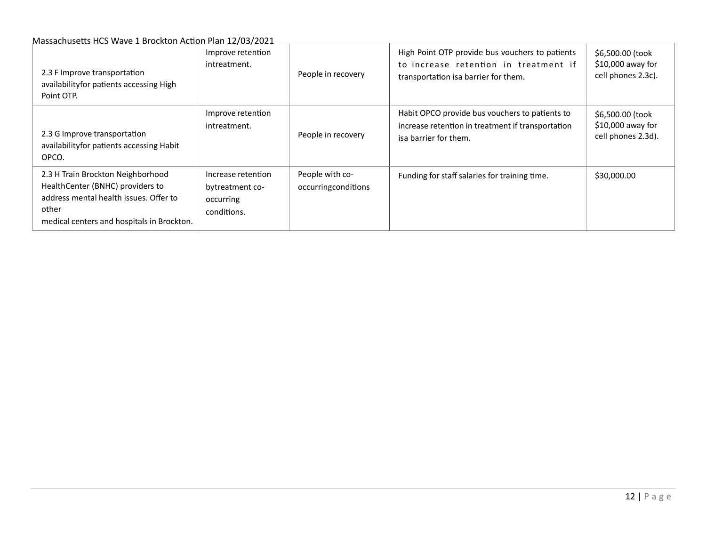| 2.3 F Improve transportation<br>availabilityfor patients accessing High<br>Point OTP.                                                                                  | Improve retention<br>intreatment.                                 | People in recovery                     | High Point OTP provide bus vouchers to patients<br>to increase retention in treatment if<br>transportation isa barrier for them. | \$6,500.00 (took<br>\$10,000 away for<br>cell phones 2.3c). |
|------------------------------------------------------------------------------------------------------------------------------------------------------------------------|-------------------------------------------------------------------|----------------------------------------|----------------------------------------------------------------------------------------------------------------------------------|-------------------------------------------------------------|
| 2.3 G Improve transportation<br>availability for patients accessing Habit<br>OPCO.                                                                                     | Improve retention<br>intreatment.                                 | People in recovery                     | Habit OPCO provide bus vouchers to patients to<br>increase retention in treatment if transportation<br>isa barrier for them.     | \$6,500.00 (took<br>\$10,000 away for<br>cell phones 2.3d). |
| 2.3 H Train Brockton Neighborhood<br>HealthCenter (BNHC) providers to<br>address mental health issues. Offer to<br>other<br>medical centers and hospitals in Brockton. | Increase retention<br>bytreatment co-<br>occurring<br>conditions. | People with co-<br>occurringconditions | Funding for staff salaries for training time.                                                                                    | \$30,000.00                                                 |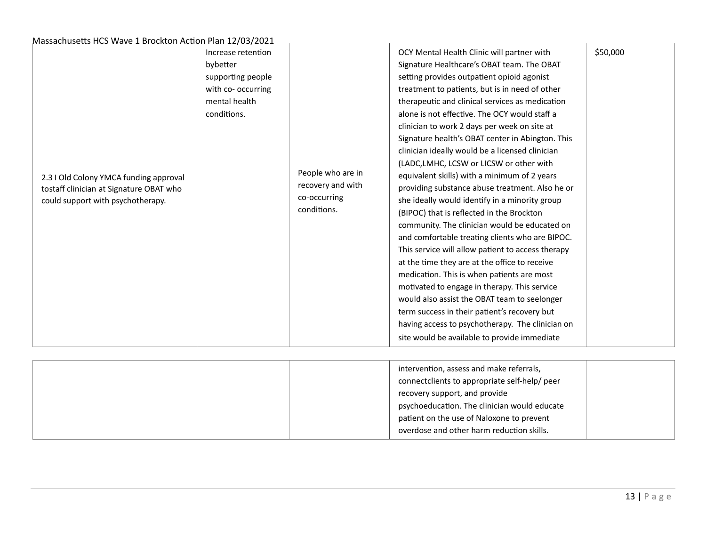|                                                                                                                        | Increase retention<br>bybetter                                          |                                                                       | OCY Mental Health Clinic will partner with<br>Signature Healthcare's OBAT team. The OBAT                                                                                                                                                                                                                                                                                                                                                                                                                                                                                                                                                                                                                                                                                                                                                                                                                                                                                                                                                                                                                          | \$50,000 |
|------------------------------------------------------------------------------------------------------------------------|-------------------------------------------------------------------------|-----------------------------------------------------------------------|-------------------------------------------------------------------------------------------------------------------------------------------------------------------------------------------------------------------------------------------------------------------------------------------------------------------------------------------------------------------------------------------------------------------------------------------------------------------------------------------------------------------------------------------------------------------------------------------------------------------------------------------------------------------------------------------------------------------------------------------------------------------------------------------------------------------------------------------------------------------------------------------------------------------------------------------------------------------------------------------------------------------------------------------------------------------------------------------------------------------|----------|
| 2.3 I Old Colony YMCA funding approval<br>tostaff clinician at Signature OBAT who<br>could support with psychotherapy. | supporting people<br>with co- occurring<br>mental health<br>conditions. | People who are in<br>recovery and with<br>co-occurring<br>conditions. | setting provides outpatient opioid agonist<br>treatment to patients, but is in need of other<br>therapeutic and clinical services as medication<br>alone is not effective. The OCY would staff a<br>clinician to work 2 days per week on site at<br>Signature health's OBAT center in Abington. This<br>clinician ideally would be a licensed clinician<br>(LADC, LMHC, LCSW or LICSW or other with<br>equivalent skills) with a minimum of 2 years<br>providing substance abuse treatment. Also he or<br>she ideally would identify in a minority group<br>(BIPOC) that is reflected in the Brockton<br>community. The clinician would be educated on<br>and comfortable treating clients who are BIPOC.<br>This service will allow patient to access therapy<br>at the time they are at the office to receive<br>medication. This is when patients are most<br>motivated to engage in therapy. This service<br>would also assist the OBAT team to seelonger<br>term success in their patient's recovery but<br>having access to psychotherapy. The clinician on<br>site would be available to provide immediate |          |

|  | intervention, assess and make referrals,<br>connectclients to appropriate self-help/ peer<br>recovery support, and provide<br>psychoeducation. The clinician would educate<br>patient on the use of Naloxone to prevent |  |
|--|-------------------------------------------------------------------------------------------------------------------------------------------------------------------------------------------------------------------------|--|
|  | overdose and other harm reduction skills.                                                                                                                                                                               |  |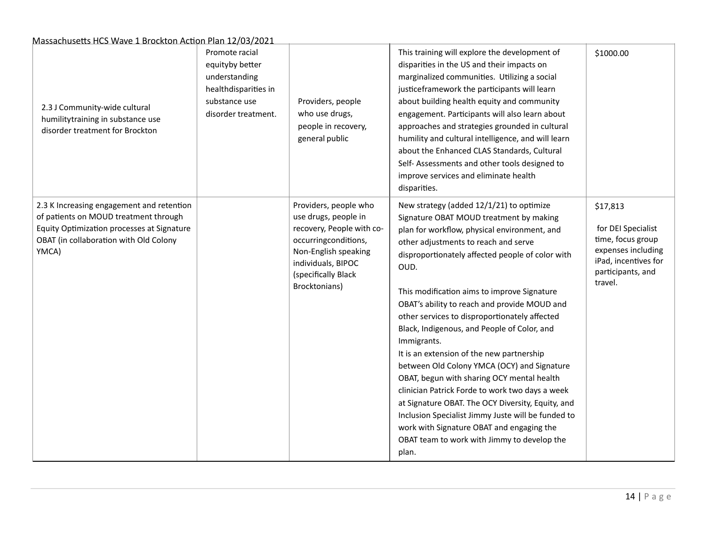| 2.3 J Community-wide cultural<br>humilitytraining in substance use<br>disorder treatment for Brockton                                                                               | Promote racial<br>equityby better<br>understanding<br>healthdisparities in<br>substance use<br>disorder treatment. | Providers, people<br>who use drugs,<br>people in recovery,<br>general public                                                                                                             | This training will explore the development of<br>disparities in the US and their impacts on<br>marginalized communities. Utilizing a social<br>justiceframework the participants will learn<br>about building health equity and community<br>engagement. Participants will also learn about<br>approaches and strategies grounded in cultural<br>humility and cultural intelligence, and will learn<br>about the Enhanced CLAS Standards, Cultural<br>Self- Assessments and other tools designed to<br>improve services and eliminate health<br>disparities.                                                                                                                                                                                                                                                                                                       | \$1000.00                                                                                                                         |
|-------------------------------------------------------------------------------------------------------------------------------------------------------------------------------------|--------------------------------------------------------------------------------------------------------------------|------------------------------------------------------------------------------------------------------------------------------------------------------------------------------------------|--------------------------------------------------------------------------------------------------------------------------------------------------------------------------------------------------------------------------------------------------------------------------------------------------------------------------------------------------------------------------------------------------------------------------------------------------------------------------------------------------------------------------------------------------------------------------------------------------------------------------------------------------------------------------------------------------------------------------------------------------------------------------------------------------------------------------------------------------------------------|-----------------------------------------------------------------------------------------------------------------------------------|
| 2.3 K Increasing engagement and retention<br>of patients on MOUD treatment through<br>Equity Optimization processes at Signature<br>OBAT (in collaboration with Old Colony<br>YMCA) |                                                                                                                    | Providers, people who<br>use drugs, people in<br>recovery, People with co-<br>occurringconditions,<br>Non-English speaking<br>individuals, BIPOC<br>(specifically Black<br>Brocktonians) | New strategy (added 12/1/21) to optimize<br>Signature OBAT MOUD treatment by making<br>plan for workflow, physical environment, and<br>other adjustments to reach and serve<br>disproportionately affected people of color with<br>OUD.<br>This modification aims to improve Signature<br>OBAT's ability to reach and provide MOUD and<br>other services to disproportionately affected<br>Black, Indigenous, and People of Color, and<br>Immigrants.<br>It is an extension of the new partnership<br>between Old Colony YMCA (OCY) and Signature<br>OBAT, begun with sharing OCY mental health<br>clinician Patrick Forde to work two days a week<br>at Signature OBAT. The OCY Diversity, Equity, and<br>Inclusion Specialist Jimmy Juste will be funded to<br>work with Signature OBAT and engaging the<br>OBAT team to work with Jimmy to develop the<br>plan. | \$17,813<br>for DEI Specialist<br>time, focus group<br>expenses including<br>iPad, incentives for<br>participants, and<br>travel. |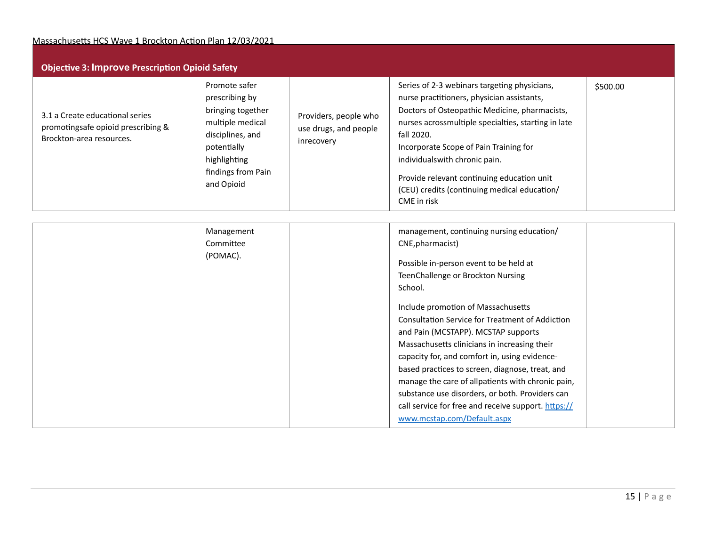| <b>Objective 3: Improve Prescription Opioid Safety</b>                                            |                                                                                                                                                                 |                                                              |                                                                                                                                                                                                                                                                                                                                                                                                          |          |  |
|---------------------------------------------------------------------------------------------------|-----------------------------------------------------------------------------------------------------------------------------------------------------------------|--------------------------------------------------------------|----------------------------------------------------------------------------------------------------------------------------------------------------------------------------------------------------------------------------------------------------------------------------------------------------------------------------------------------------------------------------------------------------------|----------|--|
| 3.1 a Create educational series<br>promotingsafe opioid prescribing &<br>Brockton-area resources. | Promote safer<br>prescribing by<br>bringing together<br>multiple medical<br>disciplines, and<br>potentially<br>highlighting<br>findings from Pain<br>and Opioid | Providers, people who<br>use drugs, and people<br>inrecovery | Series of 2-3 webinars targeting physicians,<br>nurse practitioners, physician assistants,<br>Doctors of Osteopathic Medicine, pharmacists,<br>nurses acrossmultiple specialties, starting in late<br>fall 2020.<br>Incorporate Scope of Pain Training for<br>individualswith chronic pain.<br>Provide relevant continuing education unit<br>(CEU) credits (continuing medical education/<br>CME in risk | \$500.00 |  |

| Management | management, continuing nursing education/           |
|------------|-----------------------------------------------------|
| Committee  | CNE, pharmacist)                                    |
| (POMAC).   | Possible in-person event to be held at              |
|            | TeenChallenge or Brockton Nursing                   |
|            | School.                                             |
|            | Include promotion of Massachusetts                  |
|            | Consultation Service for Treatment of Addiction     |
|            | and Pain (MCSTAPP). MCSTAP supports                 |
|            | Massachusetts clinicians in increasing their        |
|            | capacity for, and comfort in, using evidence-       |
|            | based practices to screen, diagnose, treat, and     |
|            | manage the care of allpatients with chronic pain,   |
|            | substance use disorders, or both. Providers can     |
|            | call service for free and receive support. https:// |
|            | www.mcstap.com/Default.aspx                         |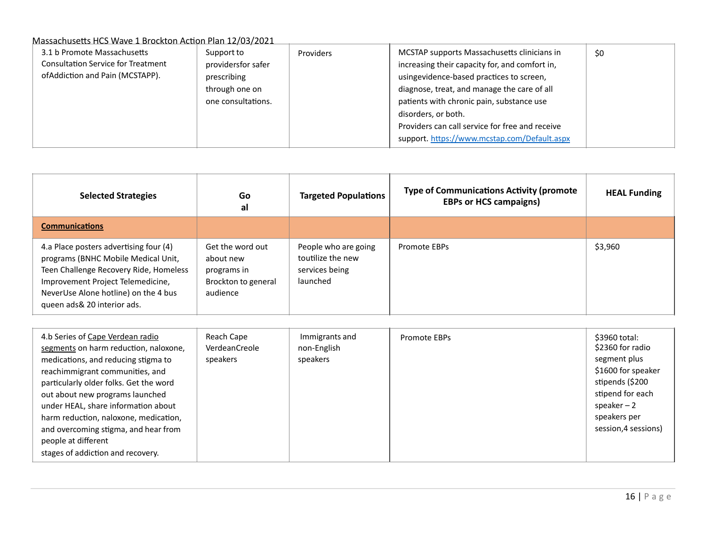| 3.1 b Promote Massachusetts<br><b>Consultation Service for Treatment</b><br>ofAddiction and Pain (MCSTAPP). | Support to<br>providersfor safer<br>prescribing<br>through one on<br>one consultations. | <b>Providers</b> | MCSTAP supports Massachusetts clinicians in<br>increasing their capacity for, and comfort in,<br>usingevidence-based practices to screen,<br>diagnose, treat, and manage the care of all<br>patients with chronic pain, substance use<br>disorders, or both.<br>Providers can call service for free and receive<br>support. https://www.mcstap.com/Default.aspx | \$0 |
|-------------------------------------------------------------------------------------------------------------|-----------------------------------------------------------------------------------------|------------------|-----------------------------------------------------------------------------------------------------------------------------------------------------------------------------------------------------------------------------------------------------------------------------------------------------------------------------------------------------------------|-----|
|-------------------------------------------------------------------------------------------------------------|-----------------------------------------------------------------------------------------|------------------|-----------------------------------------------------------------------------------------------------------------------------------------------------------------------------------------------------------------------------------------------------------------------------------------------------------------------------------------------------------------|-----|

| <b>Selected Strategies</b>                                                                                                                                                                                                           | Go<br>al                                                                        | <b>Targeted Populations</b>                                             | <b>Type of Communications Activity (promote</b><br><b>EBPs or HCS campaigns)</b> | <b>HEAL Funding</b> |
|--------------------------------------------------------------------------------------------------------------------------------------------------------------------------------------------------------------------------------------|---------------------------------------------------------------------------------|-------------------------------------------------------------------------|----------------------------------------------------------------------------------|---------------------|
| <b>Communications</b>                                                                                                                                                                                                                |                                                                                 |                                                                         |                                                                                  |                     |
| 4.a Place posters advertising four (4)<br>programs (BNHC Mobile Medical Unit,<br>Teen Challenge Recovery Ride, Homeless<br>Improvement Project Telemedicine,<br>NeverUse Alone hotline) on the 4 bus<br>queen ads & 20 interior ads. | Get the word out<br>about new<br>programs in<br>Brockton to general<br>audience | People who are going<br>toutilize the new<br>services being<br>launched | <b>Promote EBPs</b>                                                              | \$3,960             |

| 4.b Series of Cape Verdean radio<br>segments on harm reduction, naloxone,<br>medications, and reducing stigma to<br>reachimmigrant communities, and<br>particularly older folks. Get the word<br>out about new programs launched<br>under HEAL, share information about<br>harm reduction, naloxone, medication,<br>and overcoming stigma, and hear from<br>people at different<br>stages of addiction and recovery. | Reach Cape<br>VerdeanCreole<br>speakers | Immigrants and<br>non-English<br>speakers | Promote EBPs | \$3960 total:<br>\$2360 for radio<br>segment plus<br>\$1600 for speaker<br>stipends (\$200<br>stipend for each<br>speaker $-2$<br>speakers per<br>session, 4 sessions) |
|----------------------------------------------------------------------------------------------------------------------------------------------------------------------------------------------------------------------------------------------------------------------------------------------------------------------------------------------------------------------------------------------------------------------|-----------------------------------------|-------------------------------------------|--------------|------------------------------------------------------------------------------------------------------------------------------------------------------------------------|
|----------------------------------------------------------------------------------------------------------------------------------------------------------------------------------------------------------------------------------------------------------------------------------------------------------------------------------------------------------------------------------------------------------------------|-----------------------------------------|-------------------------------------------|--------------|------------------------------------------------------------------------------------------------------------------------------------------------------------------------|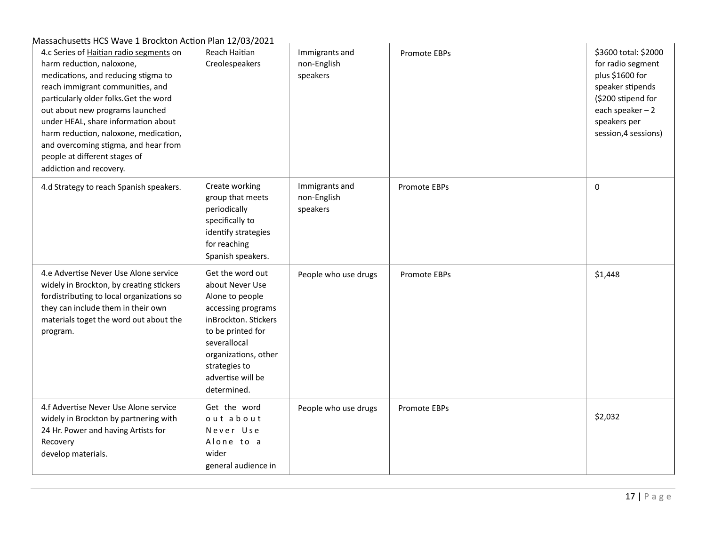| 4.c Series of Haitian radio segments on<br>harm reduction, naloxone,<br>medications, and reducing stigma to<br>reach immigrant communities, and<br>particularly older folks. Get the word<br>out about new programs launched<br>under HEAL, share information about<br>harm reduction, naloxone, medication,<br>and overcoming stigma, and hear from<br>people at different stages of<br>addiction and recovery. | Reach Haitian<br>Creolespeakers                                                                                                                                                                                        | Immigrants and<br>non-English<br>speakers | Promote EBPs | \$3600 total: \$2000<br>for radio segment<br>plus \$1600 for<br>speaker stipends<br>(\$200 stipend for<br>each speaker $-2$<br>speakers per<br>session, 4 sessions) |
|------------------------------------------------------------------------------------------------------------------------------------------------------------------------------------------------------------------------------------------------------------------------------------------------------------------------------------------------------------------------------------------------------------------|------------------------------------------------------------------------------------------------------------------------------------------------------------------------------------------------------------------------|-------------------------------------------|--------------|---------------------------------------------------------------------------------------------------------------------------------------------------------------------|
| 4.d Strategy to reach Spanish speakers.                                                                                                                                                                                                                                                                                                                                                                          | Create working<br>group that meets<br>periodically<br>specifically to<br>identify strategies<br>for reaching<br>Spanish speakers.                                                                                      | Immigrants and<br>non-English<br>speakers | Promote EBPs | $\pmb{0}$                                                                                                                                                           |
| 4.e Advertise Never Use Alone service<br>widely in Brockton, by creating stickers<br>fordistributing to local organizations so<br>they can include them in their own<br>materials toget the word out about the<br>program.                                                                                                                                                                                       | Get the word out<br>about Never Use<br>Alone to people<br>accessing programs<br>inBrockton. Stickers<br>to be printed for<br>severallocal<br>organizations, other<br>strategies to<br>advertise will be<br>determined. | People who use drugs                      | Promote EBPs | \$1,448                                                                                                                                                             |
| 4.f Advertise Never Use Alone service<br>widely in Brockton by partnering with<br>24 Hr. Power and having Artists for<br>Recovery<br>develop materials.                                                                                                                                                                                                                                                          | Get the word<br>out about<br>Never Use<br>Alone to a<br>wider<br>general audience in                                                                                                                                   | People who use drugs                      | Promote EBPs | \$2,032                                                                                                                                                             |